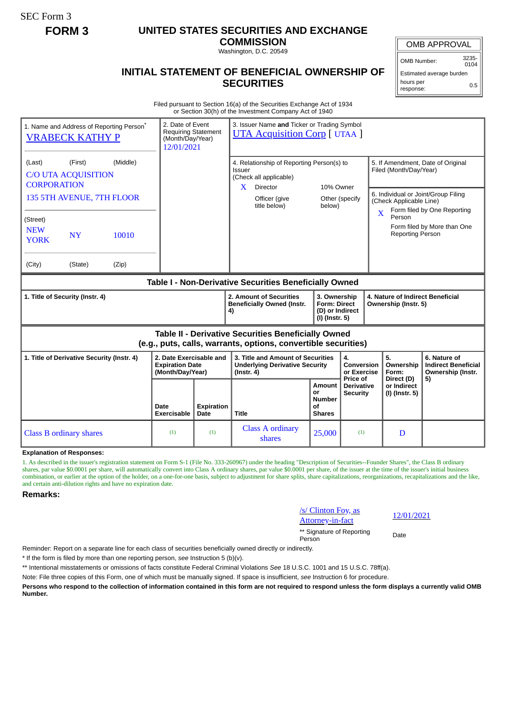SEC Form 3

# **FORM 3 UNITED STATES SECURITIES AND EXCHANGE**

**COMMISSION** Washington, D.C. 20549

OMB APPROVAL

OMB Number: 3235- 0104

Estimated average burden hours per 0.5

response:

## **INITIAL STATEMENT OF BENEFICIAL OWNERSHIP OF SECURITIES**

Filed pursuant to Section 16(a) of the Securities Exchange Act of 1934 or Section 30(h) of the Investment Company Act of 1940

| 1. Name and Address of Reporting Person*<br><b>VRABECK KATHY P</b>                                                                                                            |                            |                                                                       | 3. Issuer Name and Ticker or Trading Symbol<br>2. Date of Event<br><b>Requiring Statement</b><br><b>UTA Acquisition Corp</b> [ UTAA ]<br>(Month/Day/Year)<br>12/01/2021 |                                                                                                                                                   |                                                                            |                                                                       |                                                                                                                   |                                                                                                                                        |
|-------------------------------------------------------------------------------------------------------------------------------------------------------------------------------|----------------------------|-----------------------------------------------------------------------|-------------------------------------------------------------------------------------------------------------------------------------------------------------------------|---------------------------------------------------------------------------------------------------------------------------------------------------|----------------------------------------------------------------------------|-----------------------------------------------------------------------|-------------------------------------------------------------------------------------------------------------------|----------------------------------------------------------------------------------------------------------------------------------------|
| (First)<br>(Last)<br><b>C/O UTA ACQUISITION</b><br><b>CORPORATION</b><br>135 5TH AVENUE, 7TH FLOOR<br>(Street)<br><b>NEW</b><br><b>NY</b><br><b>YORK</b><br>(City)<br>(State) | (Middle)<br>10010<br>(Zip) |                                                                       |                                                                                                                                                                         | 4. Relationship of Reporting Person(s) to<br>Issuer<br>(Check all applicable)<br><b>Director</b><br>$\mathbf{X}$<br>Officer (give<br>title below) | 10% Owner<br>below)                                                        | Other (specify                                                        | Filed (Month/Day/Year)<br>(Check Applicable Line)<br>$\overline{\mathbf{X}}$<br>Person<br><b>Reporting Person</b> | 5. If Amendment, Date of Original<br>6. Individual or Joint/Group Filing<br>Form filed by One Reporting<br>Form filed by More than One |
| Table I - Non-Derivative Securities Beneficially Owned                                                                                                                        |                            |                                                                       |                                                                                                                                                                         |                                                                                                                                                   |                                                                            |                                                                       |                                                                                                                   |                                                                                                                                        |
| 1. Title of Security (Instr. 4)                                                                                                                                               |                            |                                                                       |                                                                                                                                                                         | 2. Amount of Securities<br><b>Beneficially Owned (Instr.</b><br>4)                                                                                | 3. Ownership<br><b>Form: Direct</b><br>(D) or Indirect<br>$(I)$ (Instr. 5) |                                                                       | 4. Nature of Indirect Beneficial<br>Ownership (Instr. 5)                                                          |                                                                                                                                        |
| <b>Table II - Derivative Securities Beneficially Owned</b><br>(e.g., puts, calls, warrants, options, convertible securities)                                                  |                            |                                                                       |                                                                                                                                                                         |                                                                                                                                                   |                                                                            |                                                                       |                                                                                                                   |                                                                                                                                        |
| 1. Title of Derivative Security (Instr. 4)                                                                                                                                    |                            | 2. Date Exercisable and<br><b>Expiration Date</b><br>(Month/Day/Year) |                                                                                                                                                                         | 3. Title and Amount of Securities<br><b>Underlying Derivative Security</b><br>$($ lnstr. 4 $)$                                                    |                                                                            | 4.<br>Conversion<br>or Exercise<br>Price of                           | 5.<br>Ownership<br>Form:<br>Direct (D)                                                                            | 6. Nature of<br><b>Indirect Beneficial</b><br>Ownership (Instr.                                                                        |
|                                                                                                                                                                               |                            | Date<br>Exercisable                                                   | <b>Expiration</b><br>Date                                                                                                                                               | <b>Title</b>                                                                                                                                      | Amount<br>or<br><b>Number</b><br>Οf<br><b>Shares</b>                       | <b>Derivative</b><br>or Indirect<br><b>Security</b><br>(I) (Instr. 5) |                                                                                                                   | 5)                                                                                                                                     |
| <b>Class B ordinary shares</b>                                                                                                                                                |                            | (1)                                                                   | (1)                                                                                                                                                                     | <b>Class A ordinary</b><br>shares                                                                                                                 | 25,000                                                                     | (1)                                                                   | D                                                                                                                 |                                                                                                                                        |

**Explanation of Responses:**

1. As described in the issuer's registration statement on Form S-1 (File No. 333-260967) under the heading "Description of Securities--Founder Shares", the Class B ordinary shares, par value \$0.0001 per share, will automatically convert into Class A ordinary shares, par value \$0.0001 per share, of the issuer at the time of the issuer's initial business combination, or earlier at the option of the holder, on a one-for-one basis, subject to adjustment for share splits, share capitalizations, reorganizations, recapitalizations and the like, and certain anti-dilution rights and have no expiration date.

#### **Remarks:**

### /s/ Clinton Foy, as

 $\frac{12}{01/2021}$  Attorney-in-fact

\*\* Signature of Reporting Person Date

Reminder: Report on a separate line for each class of securities beneficially owned directly or indirectly.

\* If the form is filed by more than one reporting person, *see* Instruction 5 (b)(v).

\*\* Intentional misstatements or omissions of facts constitute Federal Criminal Violations *See* 18 U.S.C. 1001 and 15 U.S.C. 78ff(a).

Note: File three copies of this Form, one of which must be manually signed. If space is insufficient, *see* Instruction 6 for procedure.

**Persons who respond to the collection of information contained in this form are not required to respond unless the form displays a currently valid OMB Number.**